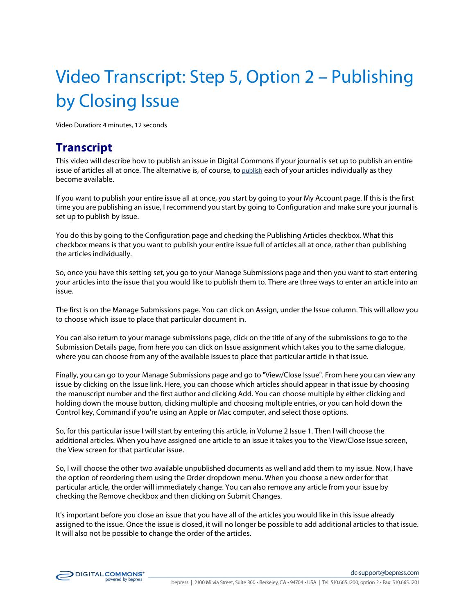## Video Transcript: Step 5, Option 2 – Publishing by Closing Issue

Video Duration: 4 minutes, 12 seconds

## **Transcript**

This video will describe how to publish an issue in Digital Commons if your journal is set up to publish an entire issue of articles all at once. The alternative is, of course, to publish each of your articles individually as they become available.

If you want to publish your entire issue all at once, you start by going to your My Account page. If this is the first time you are publishing an issue, I recommend you start by going to Configuration and make sure your journal is set up to publish by issue.

You do this by going to the Configuration page and checking the Publishing Articles checkbox. What this checkbox means is that you want to publish your entire issue full of articles all at once, rather than publishing the articles individually.

So, once you have this setting set, you go to your Manage Submissions page and then you want to start entering your articles into the issue that you would like to publish them to. There are three ways to enter an article into an issue.

The first is on the Manage Submissions page. You can click on Assign, under the Issue column. This will allow you to choose which issue to place that particular document in.

You can also return to your manage submissions page, click on the title of any of the submissions to go to the Submission Details page, from here you can click on Issue assignment which takes you to the same dialogue, where you can choose from any of the available issues to place that particular article in that issue.

Finally, you can go to your Manage Submissions page and go to "View/Close Issue". From here you can view any issue by clicking on the Issue link. Here, you can choose which articles should appear in that issue by choosing the manuscript number and the first author and clicking Add. You can choose multiple by either clicking and holding down the mouse button, clicking multiple and choosing multiple entries, or you can hold down the Control key, Command if you're using an Apple or Mac computer, and select those options.

So, for this particular issue I will start by entering this article, in Volume 2 Issue 1. Then I will choose the additional articles. When you have assigned one article to an issue it takes you to the View/Close Issue screen, the View screen for that particular issue.

So, I will choose the other two available unpublished documents as well and add them to my issue. Now, I have the option of reordering them using the Order dropdown menu. When you choose a new order for that particular article, the order will immediately change. You can also remove any article from your issue by checking the Remove checkbox and then clicking on Submit Changes.

It's important before you close an issue that you have all of the articles you would like in this issue already assigned to the issue. Once the issue is closed, it will no longer be possible to add additional articles to that issue. It will also not be possible to change the order of the articles.